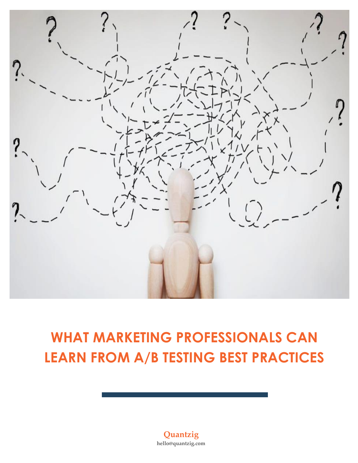

# **WHAT MARKETING PROFESSIONALS CAN LEARN FROM A/B TESTING BEST PRACTICES**

**Quantzig hello@quantzig.com**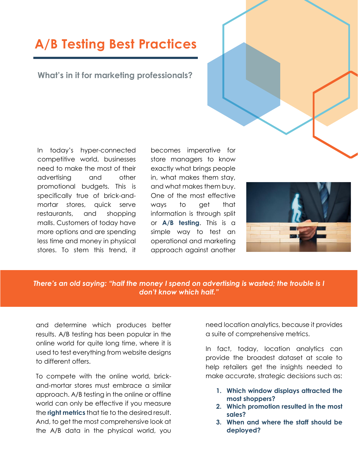## **A/B Testing Best Practices**

### **What's in it for marketing professionals?**

In today's hyper-connected competitive world, businesses need to make the most of their advertising and other promotional budgets. This is specifically true of brick-andmortar stores, quick serve restaurants, and shopping malls. Customers of today have more options and are spending less time and money in physical stores. To stem this trend, it becomes imperative for store managers to know exactly what brings people in, what makes them stay, and what makes them buy. One of the most effective ways to get that information is through split or **A/B testing**. This is a simple way to test an operational and marketing approach against another



### *There's an old saying: "half the money I spend on advertising is wasted; the trouble is I don't know which half."*

and determine which produces better results. A/B testing has been popular in the online world for quite long time, where it is used to test everything from website designs to different offers.

To compete with the online world, brickand-mortar stores must embrace a similar approach. A/B testing in the online or offline world can only be effective if you measure the **right metrics** that tie to the desired result. And, to get the most comprehensive look at the A/B data in the physical world, you

need location analytics, because it provides a suite of comprehensive metrics.

In fact, today, location analytics can provide the broadest dataset at scale to help retailers get the insights needed to make accurate, strategic decisions such as:

- **1. Which window displays attracted the most shoppers?**
- **2. Which promotion resulted in the most sales?**
- **3. When and where the staff should be deployed?**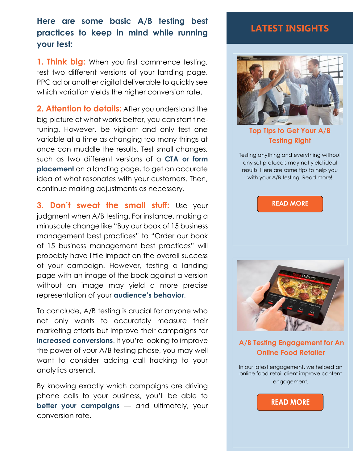## **Here are some basic A/B testing best practices to keep in mind while running your test:**

**1. Think big:** When you first commence testing, test two different versions of your landing page, PPC ad or another digital deliverable to quickly see which variation yields the higher conversion rate.

**2. Attention to details:** After you understand the big picture of what works better, you can start finetuning. However, be vigilant and only test one variable at a time as changing too many things at once can muddle the results. Test small changes, such as two different versions of a **CTA or form placement** on a landing page, to get an accurate idea of what resonates with your customers. Then, continue making adjustments as necessary.

**3. Don't sweat the small stuff:** Use your judgment when A/B testing. For instance, making a minuscule change like "Buy our book of 15 business management best practices" to "Order our book of 15 business management best practices" will probably have little impact on the overall success of your campaign. However, testing a landing page with an image of the book against a version without an image may yield a more precise representation of your **audience's behavior**.

To conclude, A/B testing is crucial for anyone who not only wants to accurately measure their marketing efforts but improve their campaigns for **increased conversions**. If you're looking to improve the power of your A/B testing phase, you may well want to consider adding call tracking to your analytics arsenal.

By knowing exactly which campaigns are driving phone calls to your business, you'll be able to **better your campaigns** — and ultimately, your conversion rate.

### **LATEST INSIGHTS**



**[Top Tips to Get Your A/B](https://www.quantzig.com/blog/top-tips-get-ab-testing-right?utm_source=QZwhitepaper&utm_medium=QZ&utm_campaign=whitepaper)  [Testing Right](https://www.quantzig.com/blog/top-tips-get-ab-testing-right?utm_source=QZwhitepaper&utm_medium=QZ&utm_campaign=whitepaper)** 

Testing anything and everything without any set protocols may not yield ideal results. Here are some tips to help you with your A/B testing. Read more!

**[READ MORE](https://www.quantzig.com/blog/top-tips-get-ab-testing-right?utm_source=QZwhitepaper&utm_medium=QZ&utm_campaign=whitepaper)**



**[A/B Testing Engagement for An](https://www.quantzig.com/content/ab-testing-online-food-retail?utm_source=QZwhitepaper&utm_medium=QZ&utm_campaign=whitepaper)  [Online Food](https://www.quantzig.com/content/ab-testing-online-food-retail?utm_source=QZwhitepaper&utm_medium=QZ&utm_campaign=whitepaper) Retailer**

In our latest engagement, we helped an online food retail client improve content engagement.